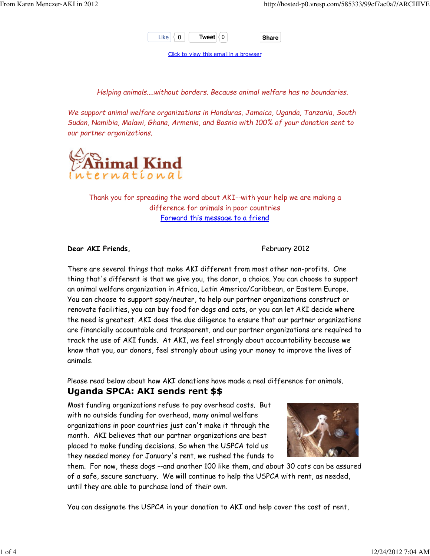

Click to view this email in a browser

Helping animals....without borders. Because animal welfare has no boundaries.

We support animal welfare organizations in Honduras, Jamaica, Uganda, Tanzania, South Sudan, Namibia, Malawi, Ghana, Armenia, and Bosnia with 100% of your donation sent to our partner organizations.



Thank you for spreading the word about AKI--with your help we are making a difference for animals in poor countries Forward this message to a friend

#### Dear AKI Friends, The Contract of the Second Pebruary 2012

There are several things that make AKI different from most other non-profits. One thing that's different is that we give you, the donor, a choice. You can choose to support an animal welfare organization in Africa, Latin America/Caribbean, or Eastern Europe. You can choose to support spay/neuter, to help our partner organizations construct or renovate facilities, you can buy food for dogs and cats, or you can let AKI decide where the need is greatest. AKI does the due diligence to ensure that our partner organizations are financially accountable and transparent, and our partner organizations are required to track the use of AKI funds. At AKI, we feel strongly about accountability because we know that you, our donors, feel strongly about using your money to improve the lives of animals.

Please read below about how AKI donations have made a real difference for animals.

### Uganda SPCA: AKI sends rent \$\$

Most funding organizations refuse to pay overhead costs. But with no outside funding for overhead, many animal welfare organizations in poor countries just can't make it through the month. AKI believes that our partner organizations are best placed to make funding decisions. So when the USPCA told us they needed money for January's rent, we rushed the funds to



them. For now, these dogs --and another 100 like them, and about 30 cats can be assured of a safe, secure sanctuary. We will continue to help the USPCA with rent, as needed, until they are able to purchase land of their own.

You can designate the USPCA in your donation to AKI and help cover the cost of rent,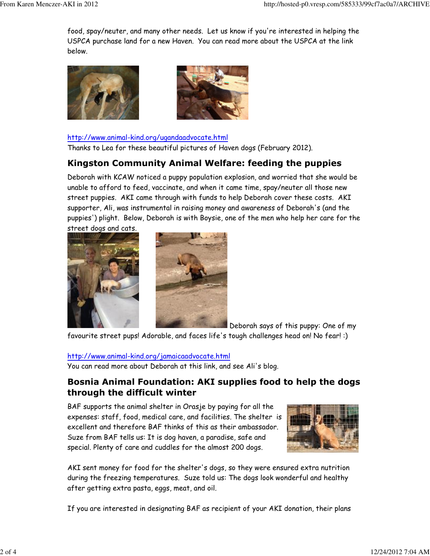food, spay/neuter, and many other needs. Let us know if you're interested in helping the USPCA purchase land for a new Haven. You can read more about the USPCA at the link below.





#### http://www.animal-kind.org/ugandaadvocate.html

Thanks to Lea for these beautiful pictures of Haven dogs (February 2012).

# Kingston Community Animal Welfare: feeding the puppies

Deborah with KCAW noticed a puppy population explosion, and worried that she would be unable to afford to feed, vaccinate, and when it came time, spay/neuter all those new street puppies. AKI came through with funds to help Deborah cover these costs. AKI supporter, Ali, was instrumental in raising money and awareness of Deborah's (and the puppies') plight. Below, Deborah is with Boysie, one of the men who help her care for the street dogs and cats.





Deborah says of this puppy: One of my

favourite street pups! Adorable, and faces life's tough challenges head on! No fear! :)

#### http://www.animal-kind.org/jamaicaadvocate.html

You can read more about Deborah at this link, and see Ali's blog.

# Bosnia Animal Foundation: AKI supplies food to help the dogs through the difficult winter

BAF supports the animal shelter in Orasje by paying for all the expenses: staff, food, medical care, and facilities. The shelter is excellent and therefore BAF thinks of this as their ambassador. Suze from BAF tells us: It is dog haven, a paradise, safe and special. Plenty of care and cuddles for the almost 200 dogs.



AKI sent money for food for the shelter's dogs, so they were ensured extra nutrition during the freezing temperatures. Suze told us: The dogs look wonderful and healthy after getting extra pasta, eggs, meat, and oil.

If you are interested in designating BAF as recipient of your AKI donation, their plans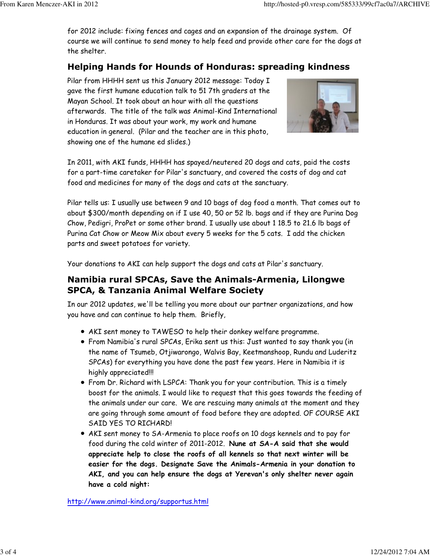for 2012 include: fixing fences and cages and an expansion of the drainage system. Of course we will continue to send money to help feed and provide other care for the dogs at the shelter.

# Helping Hands for Hounds of Honduras: spreading kindness

Pilar from HHHH sent us this January 2012 message: Today I gave the first humane education talk to 51 7th graders at the Mayan School. It took about an hour with all the questions afterwards. The title of the talk was Animal-Kind International in Honduras. It was about your work, my work and humane education in general. (Pilar and the teacher are in this photo, showing one of the humane ed slides.)



In 2011, with AKI funds, HHHH has spayed/neutered 20 dogs and cats, paid the costs for a part-time caretaker for Pilar's sanctuary, and covered the costs of dog and cat food and medicines for many of the dogs and cats at the sanctuary.

Pilar tells us: I usually use between 9 and 10 bags of dog food a month. That comes out to about \$300/month depending on if I use 40, 50 or 52 lb. bags and if they are Purina Dog Chow, Pedigri, ProPet or some other brand. I usually use about 1 18.5 to 21.6 lb bags of Purina Cat Chow or Meow Mix about every 5 weeks for the 5 cats. I add the chicken parts and sweet potatoes for variety.

Your donations to AKI can help support the dogs and cats at Pilar's sanctuary.

# Namibia rural SPCAs, Save the Animals-Armenia, Lilongwe SPCA, & Tanzania Animal Welfare Society

In our 2012 updates, we'll be telling you more about our partner organizations, and how you have and can continue to help them. Briefly,

- AKI sent money to TAWESO to help their donkey welfare programme.
- From Namibia's rural SPCAs, Erika sent us this: Just wanted to say thank you (in the name of Tsumeb, Otjiwarongo, Walvis Bay, Keetmanshoop, Rundu and Luderitz SPCAs) for everything you have done the past few years. Here in Namibia it is highly appreciated!!!
- From Dr. Richard with LSPCA: Thank you for your contribution. This is a timely boost for the animals. I would like to request that this goes towards the feeding of the animals under our care. We are rescuing many animals at the moment and they are going through some amount of food before they are adopted. OF COURSE AKI SAID YES TO RICHARD!
- AKI sent money to SA-Armenia to place roofs on 10 dogs kennels and to pay for food during the cold winter of 2011-2012. Nune at SA-A said that she would appreciate help to close the roofs of all kennels so that next winter will be easier for the dogs. Designate Save the Animals-Armenia in your donation to AKI, and you can help ensure the dogs at Yerevan's only shelter never again have a cold night:

http://www.animal-kind.org/supportus.html